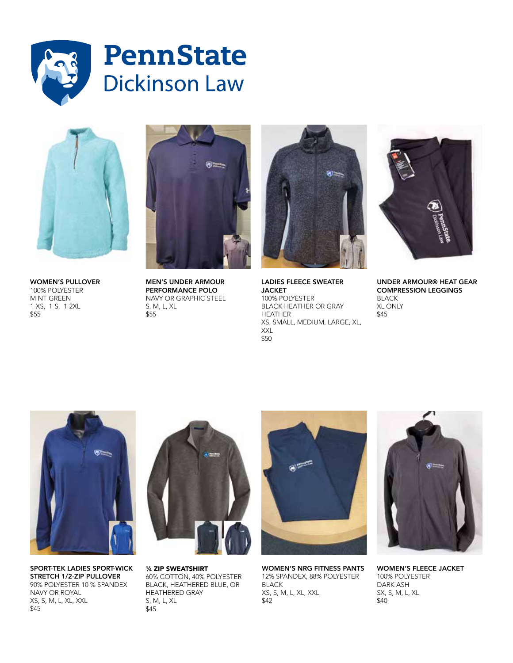



WOMEN'S PULLOVER 100% POLYESTER MINT GREEN 1-XS, 1-S, 1-2XL \$55



MEN'S UNDER ARMOUR PERFORMANCE POLO NAVY OR GRAPHIC STEEL S, M, L, XL \$55



LADIES FLEECE SWEATER JACKET 100% POLYESTER BLACK HEATHER OR GRAY HEATHER XS, SMALL, MEDIUM, LARGE, XL, XXL \$50



UNDER ARMOUR® HEAT GEAR COMPRESSION LEGGINGS BLACK XL ONLY \$45



SPORT-TEK LADIES SPORT-WICK STRETCH 1/2-ZIP PULLOVER 90% POLYESTER 10 % SPANDEX NAVY OR ROYAL XS, S, M, L, XL, XXL \$45



¼ ZIP SWEATSHIRT 60% COTTON, 40% POLYESTER BLACK, HEATHERED BLUE, OR HEATHERED GRAY S, M, L, XL \$45



WOMEN'S NRG FITNESS PANTS 12% SPANDEX, 88% POLYESTER BLACK XS, S, M, L, XL, XXL \$42



WOMEN'S FLEECE JACKET 100% POLYESTER DARK ASH SX, S, M, L, XL \$40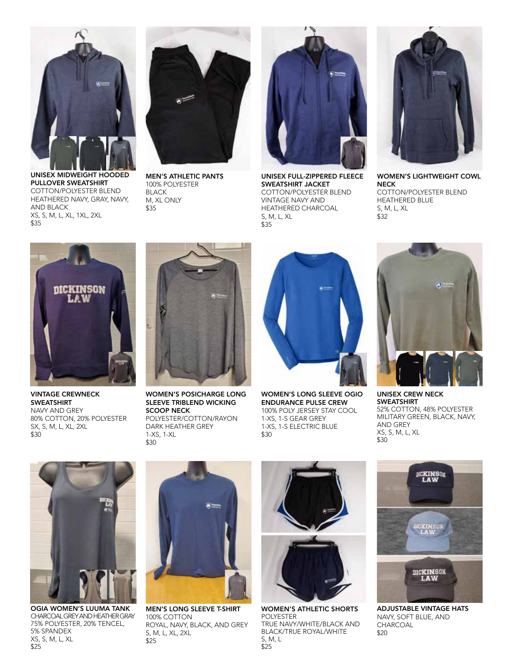

UNISEX MIDWEIGHT HOODED PULLOVER SWEATSHIRT COTTON/POLYESTER BLEND HEATHERED NAVY, GRAY, NAVY, AND BLACK XS, S, M, L, XL, 1XL, 2XL \$35



MEN'S ATHLETIC PANTS 100% POLYESTER BLACK M, XL ONLY \$35



UNISEX FULL-ZIPPERED FLEECE SWEATSHIRT JACKET COTTON/POLYESTER BLEND VINTAGE NAVY AND HEATHERED CHARCOAL S, M, L, XL \$35



WOMEN'S LIGHTWEIGHT COWL NECK COTTON/POLYESTER BLEND HEATHERED BLUE S, M, L, XL \$32



VINTAGE CREWNECK **SWEATSHIRT** NAVY AND GREY 80% COTTON, 20% POLYESTER SX, S, M, L, XL, 2XL \$30



WOMEN'S POSICHARGE LONG SLEEVE TRIBLEND WICKING SCOOP NECK POLYESTER/COTTON/RAYON DARK HEATHER GREY 1-XS, 1-XL \$30



WOMEN'S LONG SLEEVE OGIO ENDURANCE PULSE CREW 100% POLY JERSEY STAY COOL 1-XS, 1-S GEAR GREY 1-XS, 1-S ELECTRIC BLUE \$30



UNISEX CREW NECK SWEATSHIRT 52% COTTON, 48% POLYESTER MILITARY GREEN, BLACK, NAVY, AND GREY XS, S, M, L, XL \$30



OGIA WOMEN'S LUUMA TANK CHARCOAL GREY AND HEATHER GRAY 75% POLYESTER, 20% TENCEL, 5% SPANDEX XS, S, M, L, XL \$25



MEN'S LONG SLEEVE T-SHIRT 100% COTTON ROYAL, NAVY, BLACK, AND GREY S, M, L, XL, 2XL \$25



WOMEN'S ATHLETIC SHORTS POLYESTER TRUE NAVY/WHITE/BLACK AND BLACK/TRUE ROYAL/WHITE S, M, L \$25



ADJUSTABLE VINTAGE HATS NAVY, SOFT BLUE, AND CHARCOAL \$20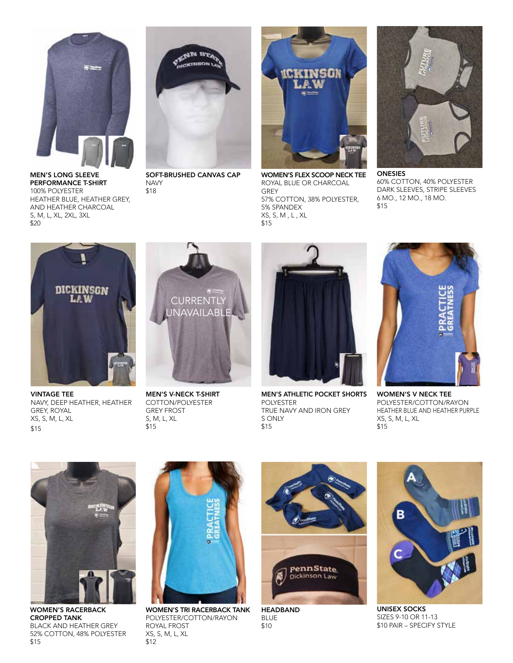

MEN'S LONG SLEEVE PERFORMANCE T-SHIRT 100% POLYESTER HEATHER BLUE, HEATHER GREY, AND HEATHER CHARCOAL S, M, L, XL, 2XL, 3XL \$20



SOFT-BRUSHED CANVAS CAP **NAVY** \$18



WOMEN'S FLEX SCOOP NECK TEE ROYAL BLUE OR CHARCOAL GREY 57% COTTON, 38% POLYESTER, 5% SPANDEX XS, S, M , L , XL \$15



ONESIES 60% COTTON, 40% POLYESTER DARK SLEEVES, STRIPE SLEEVES 6 MO., 12 MO., 18 MO. \$15



VINTAGE TEE NAVY, DEEP HEATHER, HEATHER GREY, ROYAL XS, S, M, L, XL \$15



MEN'S V-NECK T-SHIRT COTTON/POLYESTER GREY FROST S, M, L, XL \$15



MEN'S ATHLETIC POCKET SHORTS POLYESTER TRUE NAVY AND IRON GREY S ONLY \$15



WOMEN'S V NECK TEE POLYESTER/COTTON/RAYON HEATHER BLUE AND HEATHER PURPLE XS, S, M, L, XL \$15



WOMEN'S RACERBACK CROPPED TANK BLACK AND HEATHER GREY 52% COTTON, 48% POLYESTER \$15



WOMEN'S TRI RACERBACK TANK POLYESTER/COTTON/RAYON ROYAL FROST XS, S, M, L, XL \$12



HEADBAND BLUE \$10



UNISEX SOCKS SIZES 9-10 OR 11-13 \$10 PAIR – SPECIFY STYLE